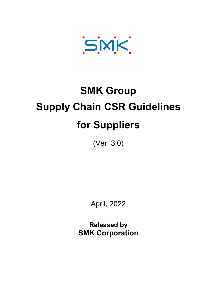SMK

# SMK Group Supply Chain CSR Guidelines for Suppliers

(Ver. 3.0)

April, 2022

Released by SMK Corporation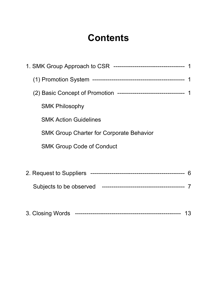# **Contents**

| (2) Basic Concept of Promotion ----------------------------------- 1 |  |
|----------------------------------------------------------------------|--|
| <b>SMK Philosophy</b>                                                |  |
| <b>SMK Action Guidelines</b>                                         |  |
| <b>SMK Group Charter for Corporate Behavior</b>                      |  |
| <b>SMK Group Code of Conduct</b>                                     |  |
|                                                                      |  |
|                                                                      |  |
|                                                                      |  |
|                                                                      |  |
| 13                                                                   |  |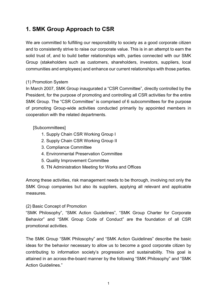# 1. SMK Group Approach to CSR

We are committed to fulfilling our responsibility to society as a good corporate citizen and to consistently strive to raise our corporate value. This is in an attempt to earn the solid trust of, and to build better relationships with, parties connected with our SMK Group (stakeholders such as customers, shareholders, investors, suppliers, local communities and employees) and enhance our current relationships with those parties.

#### (1) Promotion System

In March 2007, SMK Group inaugurated a "CSR Committee", directly controlled by the President, for the purpose of promoting and controlling all CSR activities for the entire SMK Group. The "CSR Committee" is comprised of 6 subcommittees for the purpose of promoting Group-wide activities conducted primarily by appointed members in cooperation with the related departments.

#### [Subcommittees]

- 1. Supply Chain CSR Working Group I
- 2. Supply Chain CSR Working Group II
- 3. Compliance Committee
- 4. Environmental Preservation Committee
- 5. Quality Improvement Committee
- 6. TN Administration Meeting for Works and Offices

Among these activities, risk management needs to be thorough, involving not only the SMK Group companies but also its suppliers, applying all relevant and applicable measures.

#### (2) Basic Concept of Promotion

"SMK Philosophy", "SMK Action Guidelines", "SMK Group Charter for Corporate Behavior" and "SMK Group Code of Conduct" are the foundation of all CSR promotional activities.

The SMK Group "SMK Philosophy" and "SMK Action Guidelines" describe the basic ideas for the behavior necessary to allow us to become a good corporate citizen by contributing to information society's progression and sustainability. This goal is attained in an across-the-board manner by the following "SMK Philosophy" and "SMK Action Guidelines."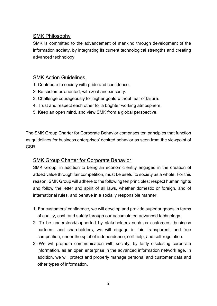# SMK Philosophy

SMK is committed to the advancement of mankind through development of the information society, by integrating its current technological strengths and creating advanced technology.

# SMK Action Guidelines

- 1. Contribute to society with pride and confidence.
- 2. Be customer-oriented, with zeal and sincerity.
- 3. Challenge courageously for higher goals without fear of failure.
- 4. Trust and respect each other for a brighter working atmosphere.
- 5. Keep an open mind, and view SMK from a global perspective.

The SMK Group Charter for Corporate Behavior comprises ten principles that function as guidelines for business enterprises' desired behavior as seen from the viewpoint of CSR.

# SMK Group Charter for Corporate Behavior

SMK Group, in addition to being an economic entity engaged in the creation of added value through fair competition, must be useful to society as a whole. For this reason, SMK Group will adhere to the following ten principles; respect human rights and follow the letter and spirit of all laws, whether domestic or foreign, and of international rules, and behave in a socially responsible manner.

- 1. For customers' confidence, we will develop and provide superior goods in terms of quality, cost, and safety through our accumulated advanced technology.
- 2. To be understood/supported by stakeholders such as customers, business partners, and shareholders, we will engage in fair, transparent, and free competition, under the spirit of independence, self-help, and self-regulation.
- 3. We will promote communication with society, by fairly disclosing corporate information, as an open enterprise in the advanced information network age. In addition, we will protect and properly manage personal and customer data and other types of information.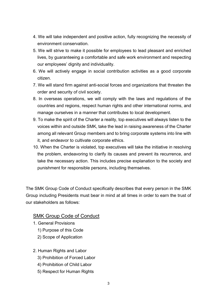- 4. We will take independent and positive action, fully recognizing the necessity of environment conservation.
- 5. We will strive to make it possible for employees to lead pleasant and enriched lives, by guaranteeing a comfortable and safe work environment and respecting our employees' dignity and individuality.
- 6. We will actively engage in social contribution activities as a good corporate citizen.
- 7. We will stand firm against anti-social forces and organizations that threaten the order and security of civil society.
- 8. In overseas operations, we will comply with the laws and regulations of the countries and regions, respect human rights and other international norms, and manage ourselves in a manner that contributes to local development.
- 9. To make the spirit of the Charter a reality, top executives will always listen to the voices within and outside SMK, take the lead in raising awareness of the Charter among all relevant Group members and to bring corporate systems into line with it, and endeavor to cultivate corporate ethics.
- 10. When the Charter is violated, top executives will take the initiative in resolving the problem, endeavoring to clarify its causes and prevent its recurrence, and take the necessary action. This includes precise explanation to the society and punishment for responsible persons, including themselves.

The SMK Group Code of Conduct specifically describes that every person in the SMK Group including Presidents must bear in mind at all times in order to earn the trust of our stakeholders as follows:

#### SMK Group Code of Conduct

- 1. General Provisions
	- 1) Purpose of this Code
	- 2) Scope of Application
- 2. Human Rights and Labor
	- 3) Prohibition of Forced Labor
	- 4) Prohibition of Child Labor
	- 5) Respect for Human Rights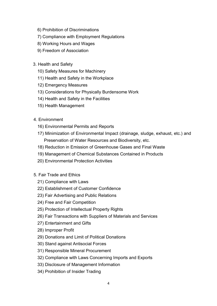- 6) Prohibition of Discriminations
- 7) Compliance with Employment Regulations
- 8) Working Hours and Wages
- 9) Freedom of Association
- 3. Health and Safety
	- 10) Safety Measures for Machinery
	- 11) Health and Safety in the Workplace
	- 12) Emergency Measures
	- 13) Considerations for Physically Burdensome Work
	- 14) Health and Safety in the Facilities
	- 15) Health Management
- 4. Environment
	- 16) Environmental Permits and Reports
	- 17) Minimization of Environmental Impact (drainage, sludge, exhaust, etc.) and Preservation of Water Resources and Biodiversity, etc.
	- 18) Reduction in Emission of Greenhouse Gases and Final Waste
	- 19) Management of Chemical Substances Contained in Products
	- 20) Environmental Protection Activities
- 5. Fair Trade and Ethics
	- 21) Compliance with Laws
	- 22) Establishment of Customer Confidence
	- 23) Fair Advertising and Public Relations
	- 24) Free and Fair Competition
	- 25) Protection of Intellectual Property Rights
	- 26) Fair Transactions with Suppliers of Materials and Services
	- 27) Entertainment and Gifts
	- 28) Improper Profit
	- 29) Donations and Limit of Political Donations
	- 30) Stand against Antisocial Forces
	- 31) Responsible Mineral Procurement
	- 32) Compliance with Laws Concerning Imports and Exports
	- 33) Disclosure of Management Information
	- 34) Prohibition of Insider Trading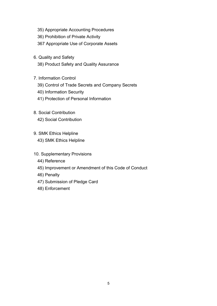- 35) Appropriate Accounting Procedures
- 36) Prohibition of Private Activity
- 367 Appropriate Use of Corporate Assets
- 6. Quality and Safety
	- 38) Product Safety and Quality Assurance
- 7. Information Control
	- 39) Control of Trade Secrets and Company Secrets
	- 40) Information Security
	- 41) Protection of Personal Information
- 8. Social Contribution 42) Social Contribution
- 9. SMK Ethics Helpline
	- 43) SMK Ethics Helpline
- 10. Supplementary Provisions
	- 44) Reference
	- 45) Improvement or Amendment of this Code of Conduct
	- 46) Penalty
	- 47) Submission of Pledge Card
	- 48) Enforcement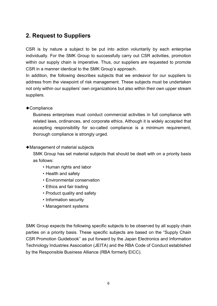# 2. Request to Suppliers

CSR is by nature a subject to be put into action voluntarily by each enterprise individually. For the SMK Group to successfully carry out CSR activities, promotion within our supply chain is imperative. Thus, our suppliers are requested to promote CSR in a manner identical to the SMK Group's approach.

In addition, the following describes subjects that we endeavor for our suppliers to address from the viewpoint of risk management. These subjects must be undertaken not only within our suppliers' own organizations but also within their own upper stream suppliers.

#### ◆Compliance

Business enterprises must conduct commercial activities in full compliance with related laws, ordinances, and corporate ethics. Although it is widely accepted that accepting responsibility for so-called compliance is a minimum requirement, thorough compliance is strongly urged.

#### ◆Management of material subjects

SMK Group has set material subjects that should be dealt with on a priority basis as follows:

- ・Human rights and labor
- ・Health and safety
- ・Environmental conservation
- ・Ethics and fair trading
- ・Product quality and safety
- ・Information security
- ・Management systems

SMK Group expects the following specific subjects to be observed by all supply chain parties on a priority basis. These specific subjects are based on the "Supply Chain CSR Promotion Guidebook'' as put forward by the Japan Electronics and Information Technology Industries Association (JEITA) and the RBA Code of Conduct established by the Responsible Business Alliance (RBA formerly EICC).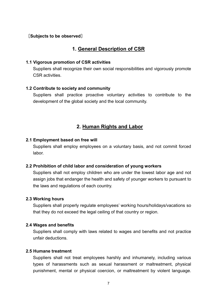#### [Subjects to be observed]

# 1. General Description of CSR

#### 1.1 Vigorous promotion of CSR activities

Suppliers shall recognize their own social responsibilities and vigorously promote CSR activities.

#### 1.2 Contribute to society and community

Suppliers shall practice proactive voluntary activities to contribute to the development of the global society and the local community.

# 2. Human Rights and Labor

#### 2.1 Employment based on free will

Suppliers shall employ employees on a voluntary basis, and not commit forced labor.

#### 2.2 Prohibition of child labor and consideration of young workers

Suppliers shall not employ children who are under the lowest labor age and not assign jobs that endanger the health and safety of younger workers to pursuant to the laws and regulations of each country.

#### 2.3 Working hours

Suppliers shall properly regulate employees' working hours/holidays/vacations so that they do not exceed the legal ceiling of that country or region.

#### 2.4 Wages and benefits

Suppliers shall comply with laws related to wages and benefits and not practice unfair deductions.

#### 2.5 Humane treatment

Suppliers shall not treat employees harshly and inhumanely, including various types of harassments such as sexual harassment or maltreatment, physical punishment, mental or physical coercion, or maltreatment by violent language.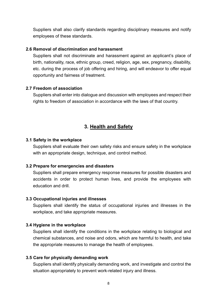Suppliers shall also clarify standards regarding disciplinary measures and notify employees of these standards.

#### 2.6 Removal of discrimination and harassment

Suppliers shall not discriminate and harassment against an applicant's place of birth, nationality, race, ethnic group, creed, religion, age, sex, pregnancy, disability, etc. during the process of job offering and hiring, and will endeavor to offer equal opportunity and fairness of treatment.

#### 2.7 Freedom of association

Suppliers shall enter into dialogue and discussion with employees and respect their rights to freedom of association in accordance with the laws of that country.

# 3. Health and Safety

#### 3.1 Safety in the workplace

Suppliers shall evaluate their own safety risks and ensure safety in the workplace with an appropriate design, technique, and control method.

#### 3.2 Prepare for emergencies and disasters

Suppliers shall prepare emergency response measures for possible disasters and accidents in order to protect human lives, and provide the employees with education and drill.

#### 3.3 Occupational injuries and illnesses

Suppliers shall identify the status of occupational injuries and illnesses in the workplace, and take appropriate measures.

#### 3.4 Hygiene in the workplace

Suppliers shall identify the conditions in the workplace relating to biological and chemical substances, and noise and odors, which are harmful to health, and take the appropriate measures to manage the health of employees.

#### 3.5 Care for physically demanding work

Suppliers shall identify physically demanding work, and investigate and control the situation appropriately to prevent work-related injury and illness.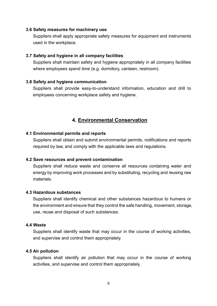#### 3.6 Safety measures for machinery use

Suppliers shall apply appropriate safety measures for equipment and instruments used in the workplace.

#### 3.7 Safety and hygiene in all company facilities

Suppliers shall maintain safety and hygiene appropriately in all company facilities where employees spend time (e.g. dormitory, canteen, restroom).

#### 3.8 Safety and hygiene communication

Suppliers shall provide easy-to-understand information, education and drill to employees concerning workplace safety and hygiene.

#### 4. Environmental Conservation

#### 4.1 Environmental permits and reports

Suppliers shall obtain and submit environmental permits, notifications and reports required by law, and comply with the applicable laws and regulations.

#### 4.2 Save resources and prevent contamination

Suppliers shall reduce waste and conserve all resources containing water and energy by improving work processes and by substituting, recycling and reusing raw materials.

#### 4.3 Hazardous substances

Suppliers shall identify chemical and other substances hazardous to humans or the environment and ensure that they control the safe handling, movement, storage, use, reuse and disposal of such substances.

#### 4.4 Waste

Suppliers shall identify waste that may occur in the course of working activities, and supervise and control them appropriately.

#### 4.5 Air pollution

Suppliers shall identify air pollution that may occur in the course of working activities, and supervise and control them appropriately.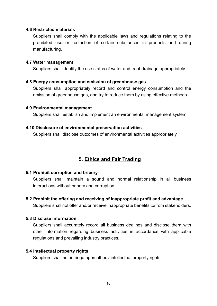#### 4.6 Restricted materials

Suppliers shall comply with the applicable laws and regulations relating to the prohibited use or restriction of certain substances in products and during manufacturing.

#### 4.7 Water management

Suppliers shall identify the use status of water and treat drainage appropriately.

#### 4.8 Energy consumption and emission of greenhouse gas

Suppliers shall appropriately record and control energy consumption and the emission of greenhouse gas, and try to reduce them by using effective methods.

#### 4.9 Environmental management

Suppliers shall establish and implement an environmental management system.

#### 4.10 Disclosure of environmental preservation activities

Suppliers shall disclose outcomes of environmental activities appropriately.

# 5. Ethics and Fair Trading

#### 5.1 Prohibit corruption and bribery

Suppliers shall maintain a sound and normal relationship in all business interactions without bribery and corruption.

5.2 Prohibit the offering and receiving of inappropriate profit and advantage

Suppliers shall not offer and/or receive inappropriate benefits to/from stakeholders.

#### 5.3 Disclose information

Suppliers shall accurately record all business dealings and disclose them with other information regarding business activities in accordance with applicable regulations and prevailing industry practices.

#### 5.4 Intellectual property rights

Suppliers shall not infringe upon others' intellectual property rights.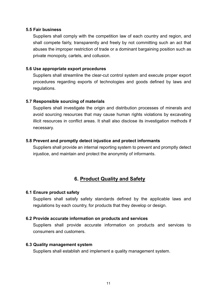#### 5.5 Fair business

Suppliers shall comply with the competition law of each country and region, and shall compete fairly, transparently and freely by not committing such an act that abuses the improper restriction of trade or a dominant bargaining position such as private monopoly, cartels, and collusion.

#### 5.6 Use appropriate export procedures

Suppliers shall streamline the clear-cut control system and execute proper export procedures regarding exports of technologies and goods defined by laws and regulations.

#### 5.7 Responsible sourcing of materials

Suppliers shall investigate the origin and distribution processes of minerals and avoid sourcing resources that may cause human rights violations by excavating illicit resources in conflict areas. It shall also disclose its investigation methods if necessary.

#### 5.8 Prevent and promptly detect injustice and protect informants

Suppliers shall provide an internal reporting system to prevent and promptly detect injustice, and maintain and protect the anonymity of informants.

# 6. Product Quality and Safety

#### 6.1 Ensure product safety

Suppliers shall satisfy safety standards defined by the applicable laws and regulations by each country, for products that they develop or design.

#### 6.2 Provide accurate information on products and services

Suppliers shall provide accurate information on products and services to consumers and customers.

#### 6.3 Quality management system

Suppliers shall establish and implement a quality management system.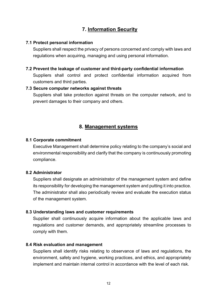# 7. Information Security

#### 7.1 Protect personal information

Suppliers shall respect the privacy of persons concerned and comply with laws and regulations when acquiring, managing and using personal information.

#### 7.2 Prevent the leakage of customer and third-party confidential information

Suppliers shall control and protect confidential information acquired from customers and third parties.

#### 7.3 Secure computer networks against threats

Suppliers shall take protection against threats on the computer network, and to prevent damages to their company and others.

# 8. Management systems

#### 8.1 Corporate commitment

Executive Management shall determine policy relating to the company's social and environmental responsibility and clarify that the company is continuously promoting compliance.

#### 8.2 Administrator

Suppliers shall designate an administrator of the management system and define its responsibility for developing the management system and putting it into practice. The administrator shall also periodically review and evaluate the execution status of the management system.

#### 8.3 Understanding laws and customer requirements

Supplier shall continuously acquire information about the applicable laws and regulations and customer demands, and appropriately streamline processes to comply with them.

#### 8.4 Risk evaluation and management

Suppliers shall identify risks relating to observance of laws and regulations, the environment, safety and hygiene, working practices, and ethics, and appropriately implement and maintain internal control in accordance with the level of each risk.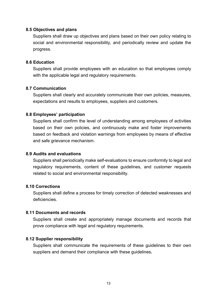#### 8.5 Objectives and plans

Suppliers shall draw up objectives and plans based on their own policy relating to social and environmental responsibility, and periodically review and update the progress.

#### 8.6 Education

Suppliers shall provide employees with an education so that employees comply with the applicable legal and regulatory requirements.

#### 8.7 Communication

Suppliers shall clearly and accurately communicate their own policies, measures, expectations and results to employees, suppliers and customers.

#### 8.8 Employees' participation

Suppliers shall confirm the level of understanding among employees of activities based on their own policies, and continuously make and foster improvements based on feedback and violation warnings from employees by means of effective and safe grievance mechanism.

#### 8.9 Audits and evaluations

Suppliers shall periodically make self-evaluations to ensure conformity to legal and regulatory requirements, content of these guidelines, and customer requests related to social and environmental responsibility.

#### 8.10 Corrections

Suppliers shall define a process for timely correction of detected weaknesses and deficiencies.

#### 8.11 Documents and records

Suppliers shall create and appropriately manage documents and records that prove compliance with legal and regulatory requirements.

#### 8.12 Supplier responsibility

Suppliers shall communicate the requirements of these guidelines to their own suppliers and demand their compliance with these guidelines.